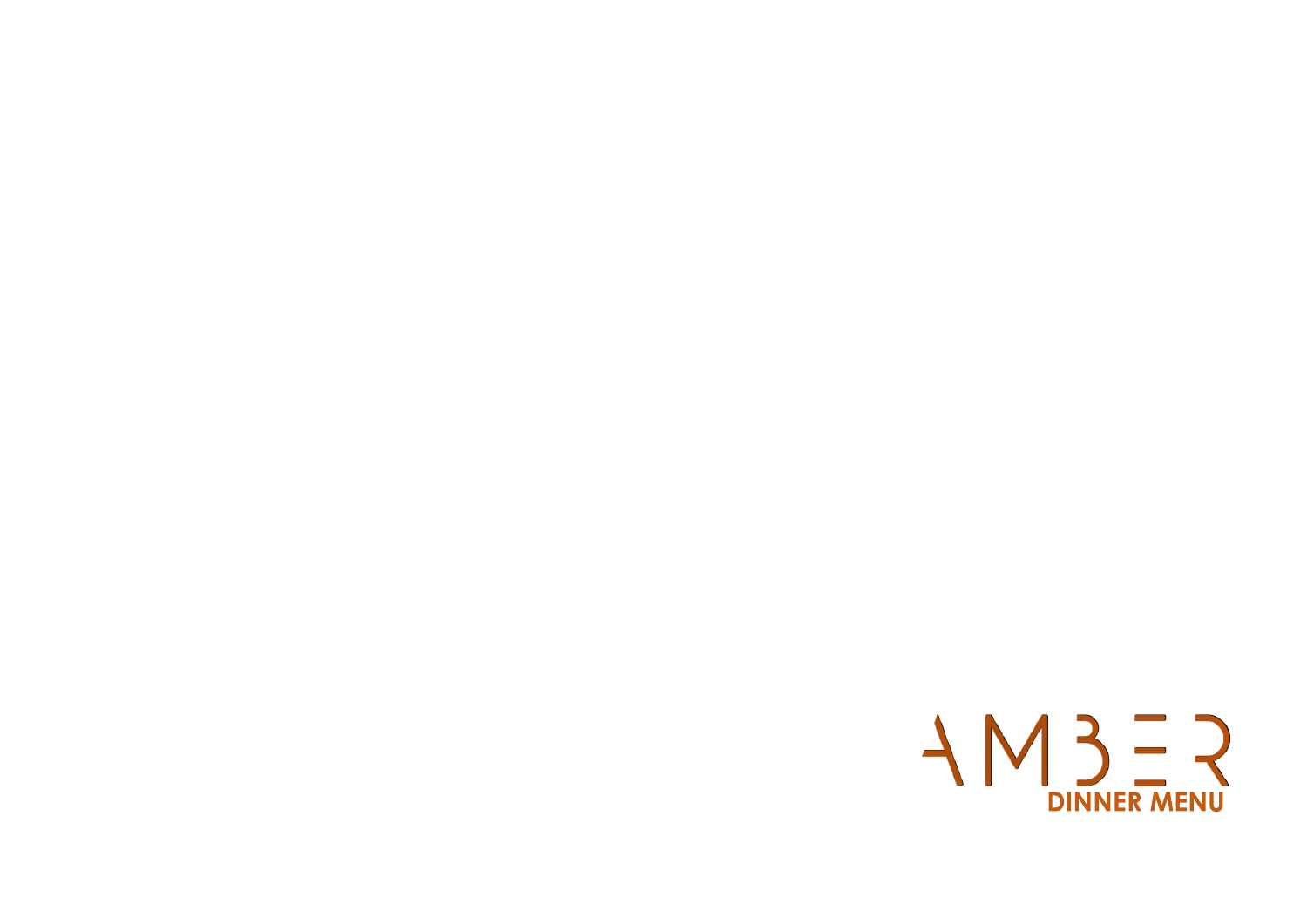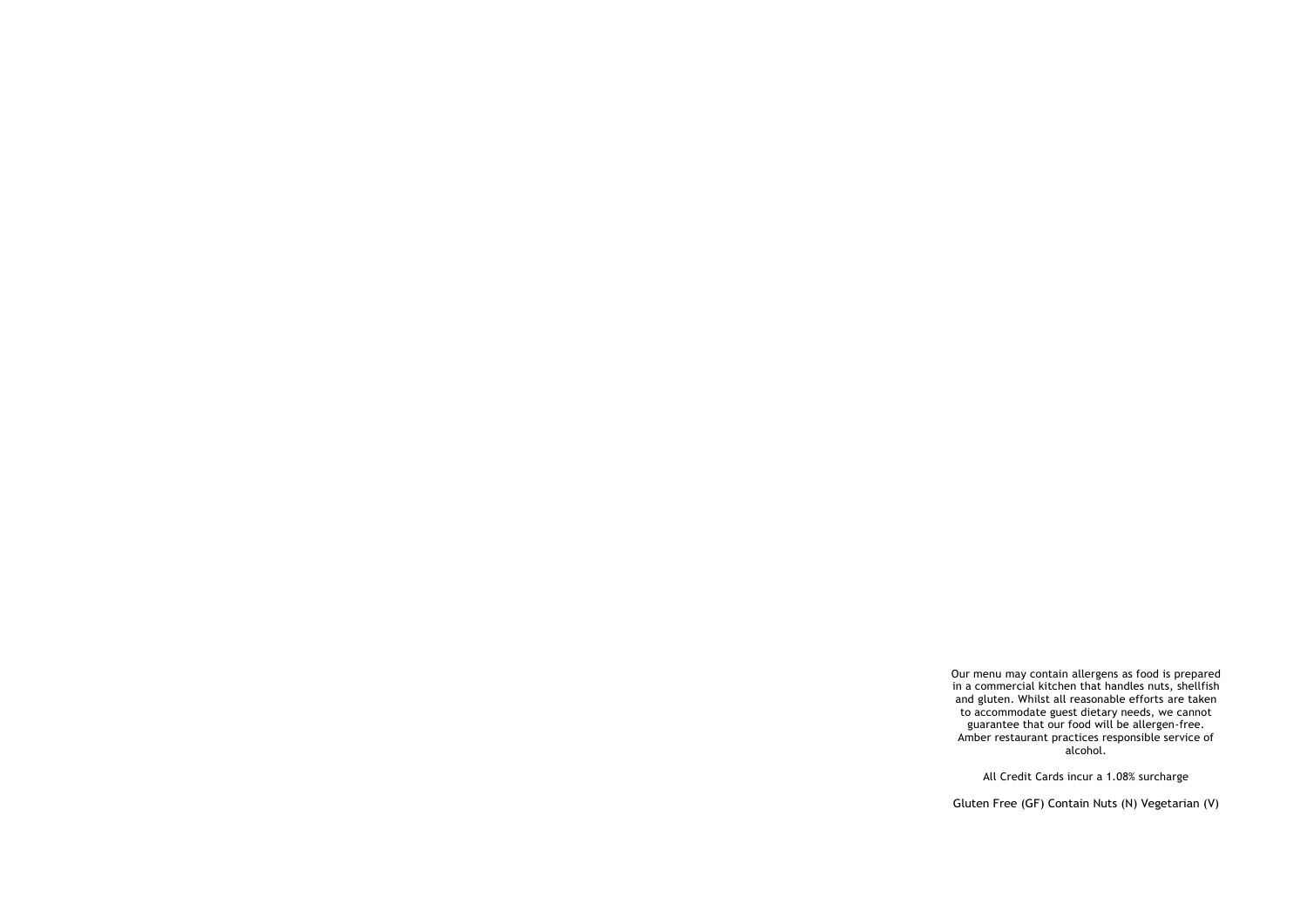Our menu may contain allergens as food is prepared in a commercial kitchen that handles nuts, shellfish and gluten. Whilst all reasonable efforts are taken to accommodate guest dietary needs, we cannot guarantee that our food will be allergen-free. Amber restaurant practices responsible service of alcohol.

All Credit Cards incur a 1.08% surcharge

Gluten Free (GF) Contain Nuts (N) Vegetarian (V)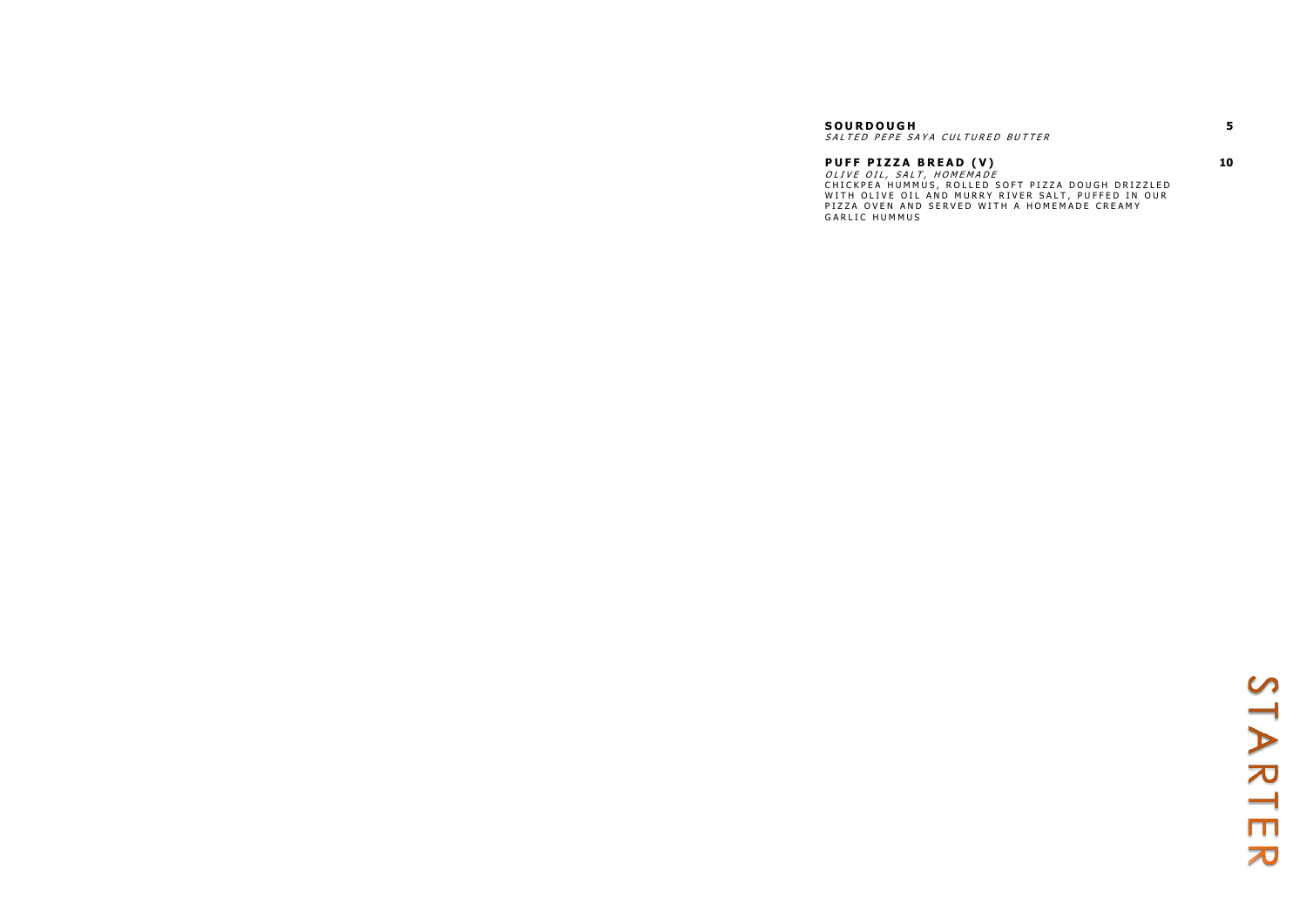### **S O U R D O U G H**  SALTED PEPE SAYA CULTURED BUTTER

**P U F F P I Z Z A B R E A D ( V )** OLIVE OIL, SALT, HOMEMADE CHICKPEA HUMMUS, ROLLED SOFT PIZZA DOUGH DRIZZLED WITH OLIVE OIL AND MURRY RIVER SALT, PUFFED IN OUR PIZZA OVEN AND SERVED WITH A HOMEMADE CREAMY GARLIC HUMMUS

**5**

**10**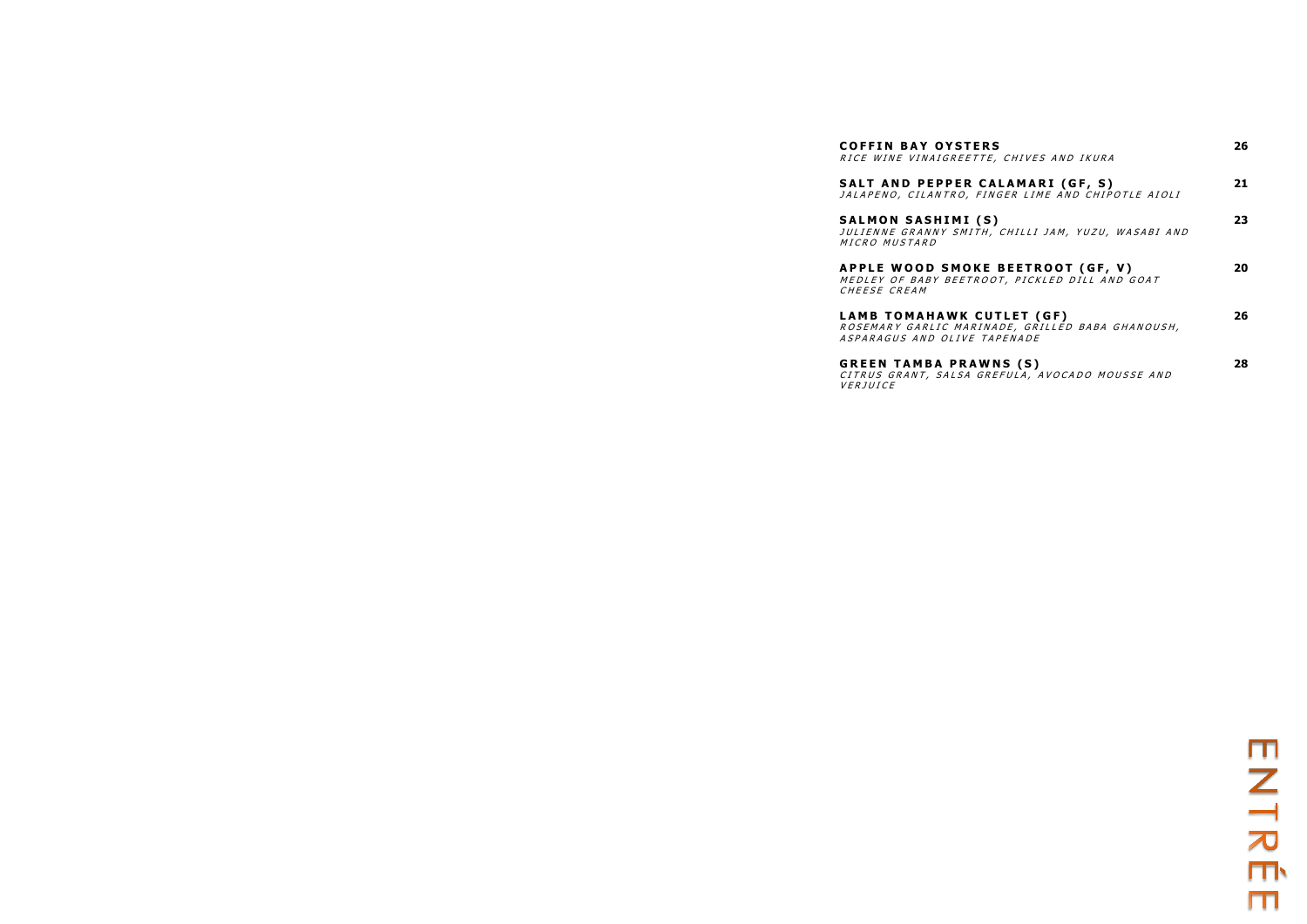**COFFIN BAY OYSTER** RICE WINE VINAIGREETTE,

**G R E E N T A M B A P R A W N S ( S )** CITRUS GRANT, SALSA GREFULA, AVOCADO MOUSSE AND

*VERJUICE* 

| <b>COFFIN BAY OYSTERS</b><br>RICE WINE VINAIGREETTE, CHIVES AND IKURA                                                | 26 |
|----------------------------------------------------------------------------------------------------------------------|----|
| SALT AND PEPPER CALAMARI (GF, S)<br>JALAPENO, CILANTRO, FINGER LIME AND CHIPOTLE AIOLI                               | 21 |
| SALMON SASHIMI (S)<br>JULIENNE GRANNY SMITH, CHILLI JAM, YUZU, WASABI AND<br><i>MICRO MUSTARD</i>                    | 23 |
| <b>APPLE WOOD SMOKE BEETROOT (GF, V)</b><br>MEDLEY OF BABY BEETROOT, PICKLED DILL AND GOAT<br>CHEESE CREAM           | 20 |
| LAMB TOMAHAWK CUTLET (GF)<br>ROSEMARY GARLIC MARINADE, GRILLED BABA GHANOUSH,<br><i>ASPARAGUS AND OLIVE TAPENADE</i> | 26 |
| <b>GREEN TAMBA PRAWNS (S)</b><br>CITRUS GRANT. SALSA GREFULA. AVOCADO MOUSSE AND                                     | 28 |

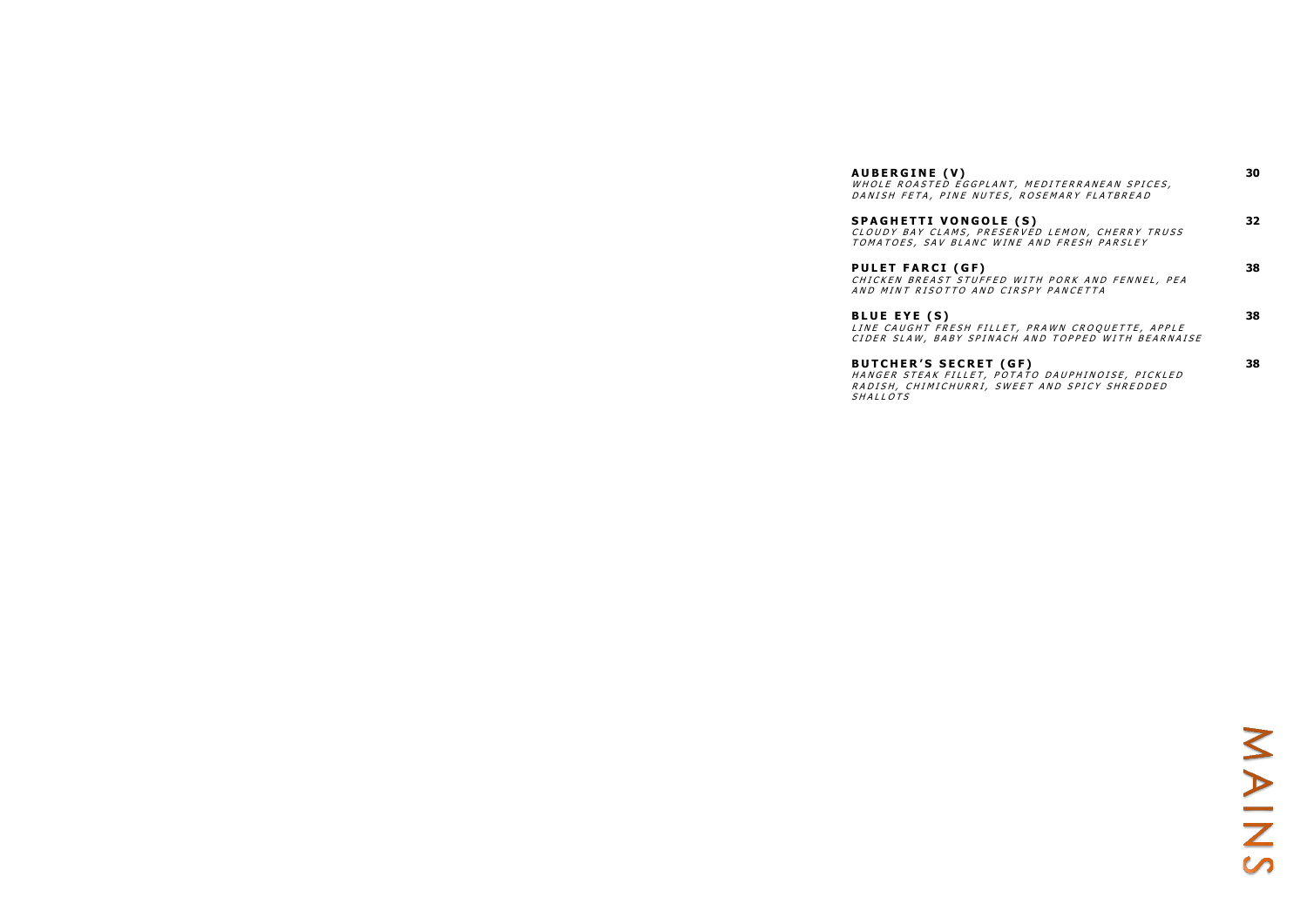**BUTCHER'S SECRET** S H A L L O T S

| <b>AUBERGINE (V)</b><br>WHOLE ROASTED EGGPLANT, MEDITERRANEAN SPICES,<br>DANISH FETA, PINE NUTES, ROSEMARY FLATBREAD              | 30  |
|-----------------------------------------------------------------------------------------------------------------------------------|-----|
| <b>SPAGHETTI VONGOLE (S)</b><br>CLOUDY BAY CLAMS, PRESERVED LEMON, CHERRY TRUSS<br>TOMATOES, SAV BLANC WINE AND FRESH PARSLEY     | 32. |
| <b>PULET FARCI (GF)</b><br>CHICKEN BREAST STUFFED WITH PORK AND FENNEL, PEA<br>AND MINT RISOTTO AND CIRSPY PANCETTA               | 38. |
| <b>BLUE EYE (S)</b><br>LINE CAUGHT FRESH FILLET, PRAWN CROQUETTE, APPLE<br>CIDER SLAW, BABY SPINACH AND TOPPED WITH BEARNAISE     | 38  |
| <b>BUTCHER'S SECRET (GF)</b><br>HANGER STEAK FILLET, POTATO DAUPHINOISE, PICKLED<br>RADISH, CHIMICHURRI, SWEET AND SPICY SHREDDED | 38  |

# NAINS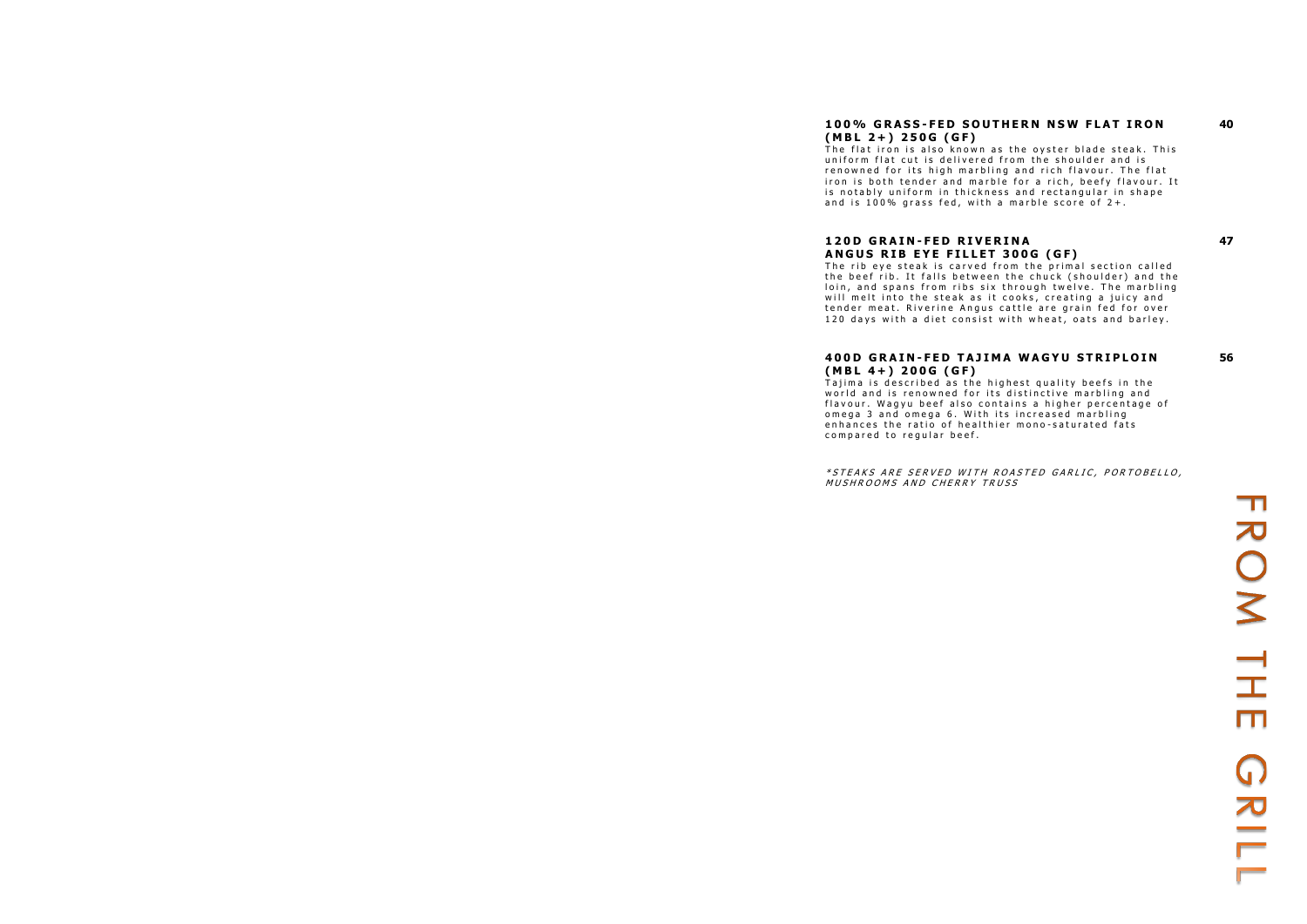# **1 0 0 % G R A S S - F E D S O U T H E R N N S W F L A T I R O N ( M B L 2 + ) 2 5 0 G ( G F )**

The flat iron is also known as the oyster blade steak. This uniform flat cut is delivered from the shoulder and is renowned for its high marbling and rich flavour. The flat iron is both tender and marble for a rich, beefy flavour. It is notably uniform in thickness and rectangular in shape and is 100% grass fed, with a marble score of  $2+$ .

**40**

# **1 2 0 D G R A I N - F E D R I V E R I N A A N G U S R I B E Y E F I L L E T 3 0 0 G ( G F )**

The rib eye steak is carved from the primal section called the beef rib. It falls between the chuck (shoulder) and the loin, and spans from ribs six through twelve. The marbling will melt into the steak as it cooks, creating a juicy and tender meat. Riverine Angus cattle are grain fed for over 120 days with a diet consist with wheat, oats and barley.

### **400D GRAIN-FED TAJIMA WAGYU STRIPLOIN ( M B L 4 + ) 2 0 0 G ( G F )**

Tajima is described as the highest quality beefs in the world and is renowned for its distinctive marbling and flavour. Wagyu beef also contains a higher percentage of omega 3 and omega 6. With its increased marbling enhances the ratio of healthier mono-saturated fats compared to regular beef.

\* STEAKS ARE SERVED WITH ROASTED GARLIC, PORTOBELLO, MUSHROOMS AND CHERRY TRUSS

ROM TH m  $\bigcap$  $\frac{1}{2}$ 

**47**

**56**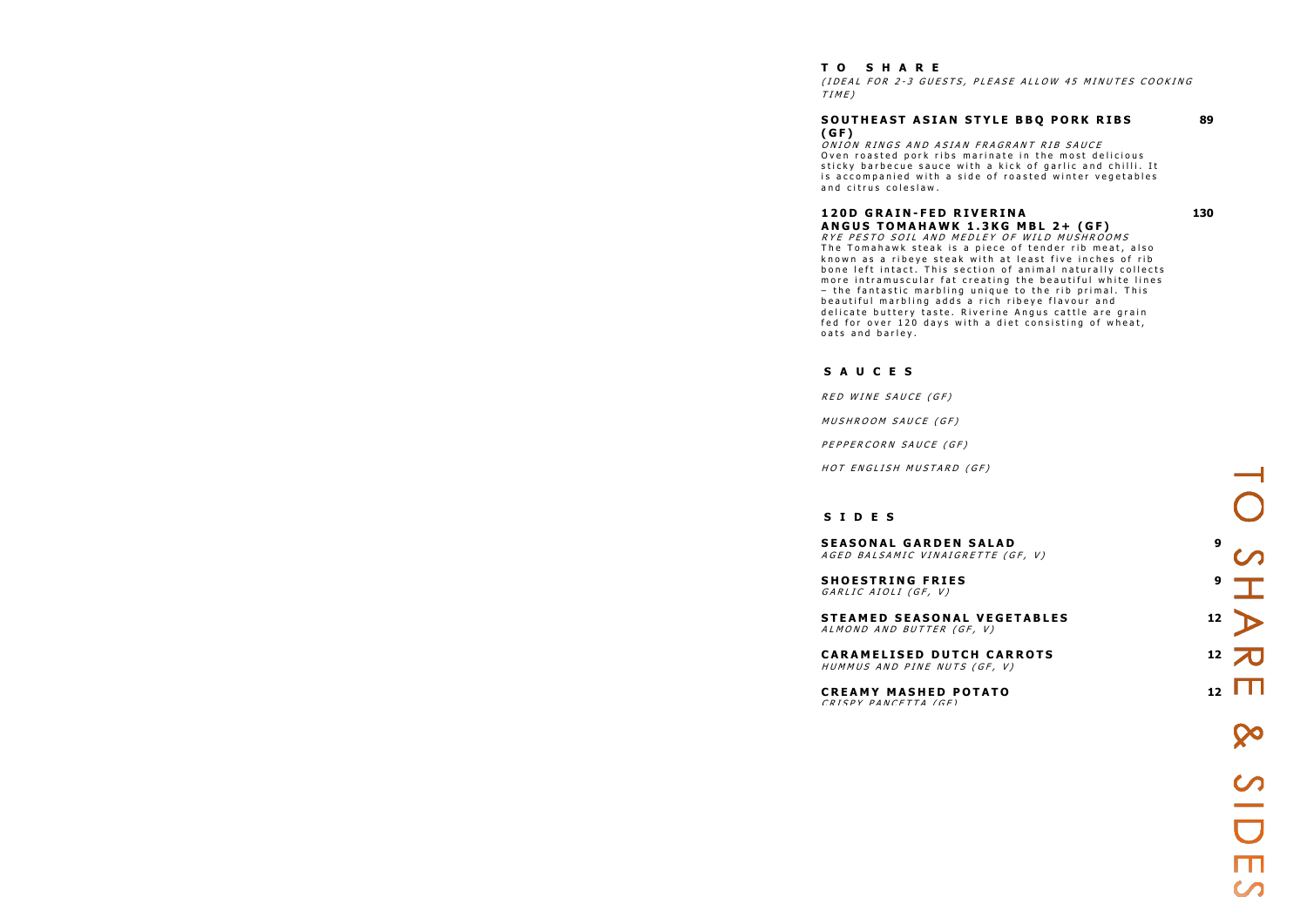### **T O S H A R E**

(IDEAL FOR 2-3 GUESTS, PLEASE ALLOW 45 MINUTES COOKING  $TIME$ )

# **( G F )**

ONION RINGS AND ASIAN FRAGRANT RIB SAUCE Oven roasted pork ribs marinate in the most delicious sticky barbecue sauce with a kick of garlic and chilli. It is accompanied with a side of roasted winter vegetables and citrus coleslaw.

**A N G U S T O M A H A W K 1 . 3 K G M B L 2 + ( G F )** RYE PESTO SOIL AND MEDLEY OF WILD MUSHROOMS The Tomahawk steak is a piece of tender rib meat, also known as a ribeye steak with at least five inches of rib bone left intact. This section of animal naturally collects more intramuscular fat creating the beautiful white lines  $-$  the fantastic marbling unique to the rib primal. This beautiful marbling adds a rich ribeye flavour and delicate buttery taste. Riverine Angus cattle are grain fed for over 120 days with a diet consisting of wheat, oats and barley.

**89**

# **1 2 0 D G R A I N - F E D R I V E R I N A**

**130**

SHAR

Ш

 $\infty$ 

 $\frac{1}{\Box}$ 

### **S A U C E S**

RED WINE SAUCE (GF)

MUSHROOM SAUCE (GF)

PEPPERCORN SAUCE (GF)

HOT ENGLISH MUSTARD (GF)

### **S I D E S**

**SEASONAL GARDEN SA** A G E D BAL SAMIC VINAIGRETT

**SHOESTRING FRIES**  $GARIIC AIOLI (GF, V)$ 

**STEAMED SEASONAL VE** ALMOND AND BUTTER (GF, V)

**CARAMELISED DUTCH C** HUMMUS AND PINE NUTS (GF

**CREAMY MASHED POTA** CRISPY PANCETTA (GE)

### SOUTHEAST ASIAN STYLE BBQ PORK RIBS

| <b>LAD</b><br>$F$ (GF, V) | 9  |
|---------------------------|----|
|                           | 9  |
| <b>EGETABLES</b><br>')    | 12 |
| <b>CARROTS</b><br>F, V)   | 12 |
| T0                        | 12 |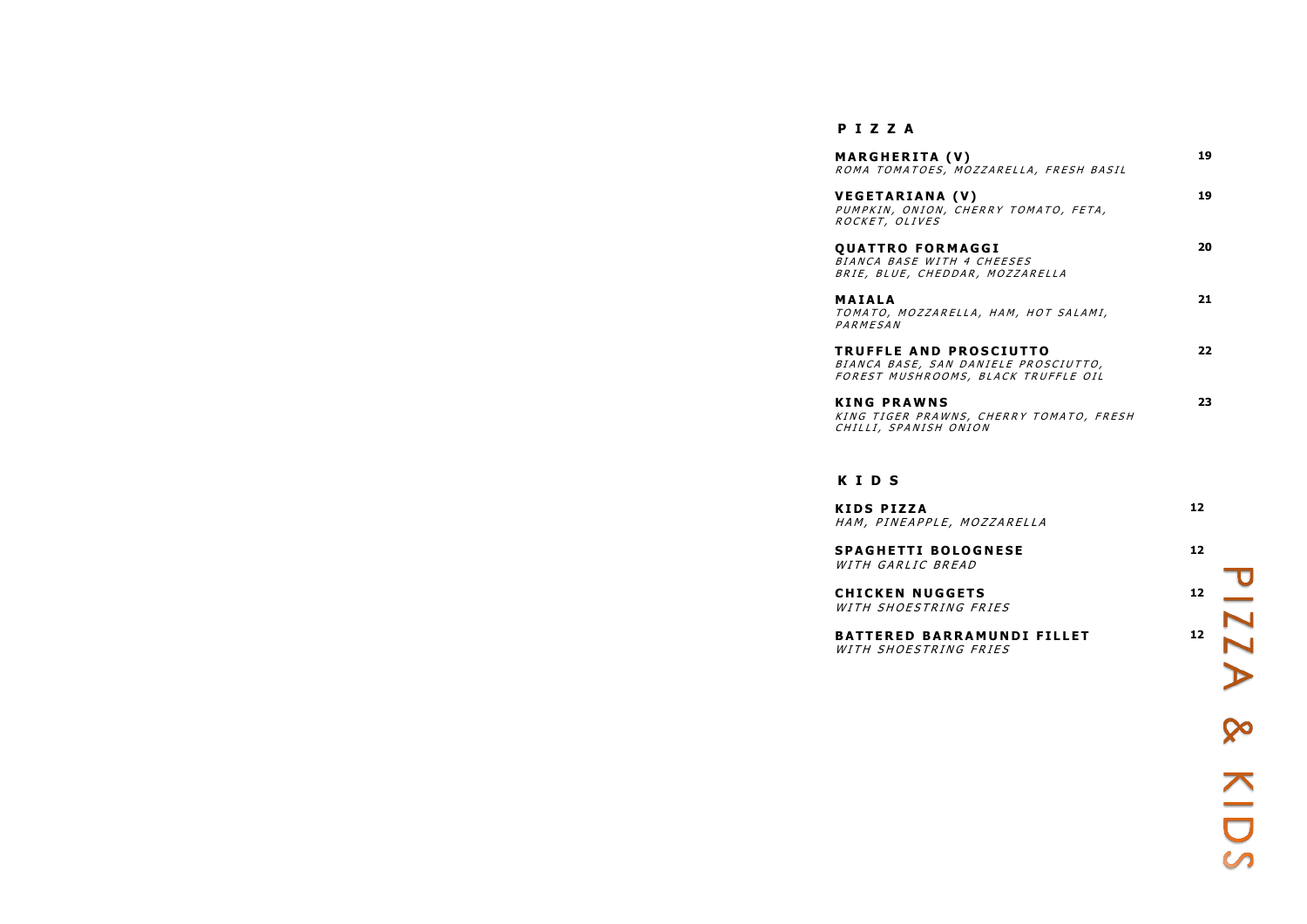# **P I Z Z A**

**MARGHERITA (V)** R O M A TO M A TO ES, MOZZ,

**VEGETARIANA (V)** PUMPKIN, ONION, CHERRY TOMATO, FETA, ROCKET, OLIVES

**QUATTRO FORMAGG** BIANCA BASE WITH 4 CH BRIE, BLUE, CHEDDAR,

**M A I A L A** TO MATO, MOZZARELLA, PARMESAN

**TRUFFLE AND PROS** BIANCA BASE, SAN DANI FOREST MUSHROOMS, BL

**K I N G P R A W N S** KING TIGER PRAWNS, CHERRY TOMATO, FRESH CHILLI, SPANISH ONION

**K I D S P I Z Z A** HAM, PINEAPPLE, MOZ.

**SPAGHETTI BOLOGN** WITH GARLIC BREAD

**CHICKEN NUGGETS** WITH SHOESTRING FR.

**BATTERED BARRAM** WITH SHOESTRING FRIES

| ARELLA, FRESH BASIL                                                 | 19 |
|---------------------------------------------------------------------|----|
| RY TOMATO, FETA,                                                    | 19 |
| ìI<br><i>HEESES</i><br><i>MOZZARELLA</i>                            | 20 |
| HAM, HOT SALAMI,                                                    | 21 |
| <b>CIUTTO</b><br><i>IELE PROSCIUTTO,</i><br><i>LACK TRUFFLE OIL</i> | 22 |
|                                                                     | 23 |

# **K I D S**

| ZARELLA                          | 12 |  |
|----------------------------------|----|--|
| <b>NESE</b>                      | 12 |  |
| <b>IES</b>                       | 12 |  |
| <b>UNDI FILLET</b><br><b>IES</b> | 12 |  |
|                                  |    |  |

**So** 

N<br>O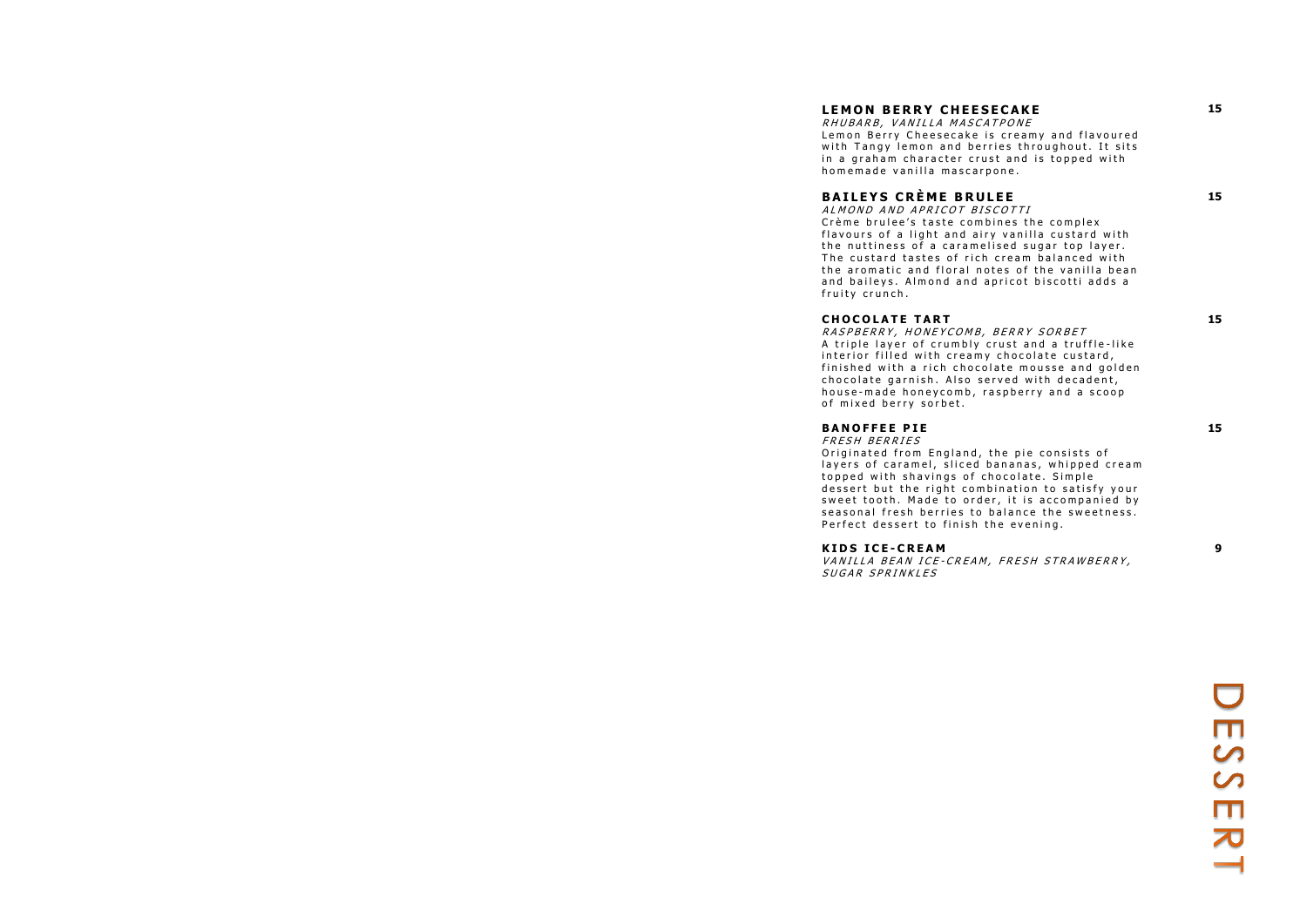# **LEMON BERRY CHEESECAKE**

R HU BARB, VANILLA MASCATPONE Lemon Berry Cheesecake is creamy and flavoured with Tangy lemon and berries throughout. It sits in a graham character crust and is topped with homemade vanilla mascarpone.

**15**

### **B A I L E Y S C R È M E B R U L E E**

ALMOND AND APRICOT BISCOTTI Crème brulee's taste combines the complex flavours of a light and airy vanilla custard with the nuttiness of a caramelised sugar top layer. The custard tastes of rich cream balanced with the aromatic and floral notes of the vanilla bean and baileys. Almond and apricot biscotti adds a fruity crunch.

### **CHOCOLATE TART**

RASPBERRY, HONEYCOMB, BERRY SORBET A triple layer of crumbly crust and a truffle-like interior filled with creamy chocolate custard, finished with a rich chocolate mousse and golden chocolate garnish. Also served with decadent, house-made honeycomb, raspberry and a scoop of mixed berry sorbet.

**15**

**15**

# **B A N O F F E E P I E**

FRESH BERRIES Originated from England, the pie consists of layers of caramel, sliced bananas, whipped cream topped with shavings of chocolate. Simple dessert but the right combination to satisfy your sweet tooth. Made to order, it is accompanied by seasonal fresh berries to balance the sweetness. Perfect dessert to finish the evening.

**15**

### **K I D S I C E - C R E A M**

VANILLA BEAN ICE-CREAM, FRESH STRAWBERRY, SUGAR SPRINKLES

 $\mathcal{C}$ <u>()</u><br>က

**9**